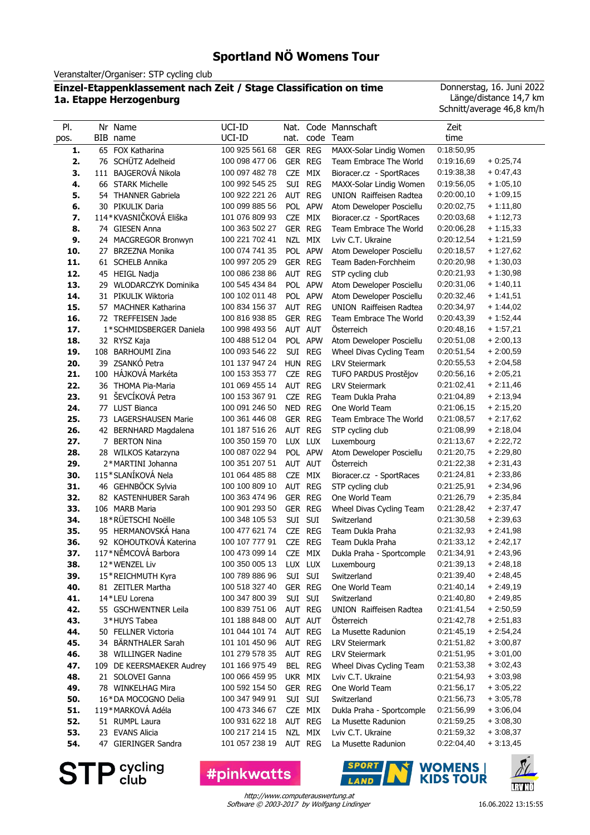# **Sportland NÖ Womens Tour**

Veranstalter/Organiser: STP cycling club

#### **Einzel-Etappenklassement nach Zeit / Stage Classification on time 1a. Etappe Herzogenburg**

Donnerstag, 16. Juni 2022 Länge/distance 14,7 km Schnitt/average 46,8 km/h

| PI.        |    | Nr Name                                     | UCI-ID                           | Nat.           |            | Code Mannschaft                        | Zeit                     |                          |
|------------|----|---------------------------------------------|----------------------------------|----------------|------------|----------------------------------------|--------------------------|--------------------------|
| pos.       |    | BIB name                                    | UCI-ID                           | nat.           |            | code Team                              | time                     |                          |
| 1.         | 65 | FOX Katharina                               | 100 925 561 68                   | <b>GER</b>     | <b>REG</b> | MAXX-Solar Lindig Women                | 0:18:50,95               |                          |
| 2.         |    | 76 SCHÜTZ Adelheid                          | 100 098 477 06                   | GER REG        |            | Team Embrace The World                 | 0:19:16,69               | $+0.25,74$               |
| 3.         |    | 111 BAJGEROVÁ Nikola                        | 100 097 482 78                   | <b>CZE</b>     | MIX        | Bioracer.cz - SportRaces               | 0:19:38,38               | $+0.47,43$               |
| 4.         |    | 66 STARK Michelle                           | 100 992 545 25                   |                | SUI REG    | MAXX-Solar Lindig Women                | 0:19:56,05               | $+1:05,10$               |
| 5.         |    | 54 THANNER Gabriela                         | 100 922 221 26                   | AUT REG        |            | <b>UNION Raiffeisen Radtea</b>         | 0:20:00,10               | $+1:09,15$               |
| 6.         |    | 30 PIKULIK Daria                            | 100 099 885 56                   |                | POL APW    | Atom Deweloper Posciellu               | 0:20:02,75               | $+1:11,80$               |
| 7.         |    | 114*KVASNIČKOVÁ Eliška                      | 101 076 809 93                   | CZE            | MIX        | Bioracer.cz - SportRaces               | 0:20:03,68               | $+1:12,73$               |
| 8.         |    | 74 GIESEN Anna                              | 100 363 502 27                   | GER REG        |            | Team Embrace The World                 | 0:20:06,28               | $+1:15,33$               |
| 9.         |    | 24 MACGREGOR Bronwyn                        | 100 221 702 41                   | NZL            | <b>MIX</b> | Lviv C.T. Ukraine                      | 0:20:12,54               | $+1:21,59$               |
| 10.        |    | 27 BRZEZNA Monika                           | 100 074 741 35                   |                | POL APW    | Atom Deweloper Posciellu               | 0:20:18,57               | $+1:27,62$               |
| 11.        |    | 61 SCHELB Annika                            | 100 997 205 29                   | GER REG        |            | Team Baden-Forchheim                   | 0:20:20,98               | $+1:30,03$               |
| 12.        |    | 45 HEIGL Nadja                              | 100 086 238 86                   | AUT REG        |            | STP cycling club                       | 0:20:21,93               | $+1:30,98$               |
| 13.        |    | 29 WLODARCZYK Dominika                      | 100 545 434 84                   |                | POL APW    | Atom Deweloper Posciellu               | 0:20:31,06               | $+1:40,11$               |
| 14.        |    | 31 PIKULIK Wiktoria                         | 100 102 011 48                   |                | POL APW    | Atom Deweloper Posciellu               | 0:20:32,46               | $+1:41,51$               |
| 15.        |    | 57 MACHNER Katharina                        | 100 834 156 37                   | AUT REG        |            | <b>UNION Raiffeisen Radtea</b>         | 0:20:34,97               | $+1:44,02$               |
| 16.        |    | 72 TREFFEISEN Jade                          | 100 816 938 85                   | GER REG        |            | Team Embrace The World                 | 0:20:43.39               | $+1:52,44$               |
| 17.        |    | 1*SCHMIDSBERGER Daniela                     | 100 998 493 56                   | AUT AUT        |            | Osterreich                             | 0:20:48,16               | $+1:57,21$               |
| 18.        |    | 32 RYSZ Kaja                                | 100 488 512 04                   |                | POL APW    | Atom Deweloper Posciellu               | 0:20:51,08               | $+2:00,13$               |
| 19.        |    | 108 BARHOUMI Zina                           | 100 093 546 22                   |                | SUI REG    | Wheel Divas Cycling Team               | 0:20:51,54               | $+2:00,59$               |
| 20.        |    | 39 ZSANKÓ Petra                             | 101 137 947 24                   | HUN REG        |            | <b>LRV Steiermark</b>                  | 0:20:55,53               | $+2:04,58$               |
| 21.        |    | 100 HÁJKOVÁ Markéta                         | 100 153 353 77                   | CZE REG        |            | TUFO PARDUS Prostějov                  | 0:20:56,16               | $+2:05,21$               |
| 22.        |    | 36 THOMA Pia-Maria                          | 101 069 455 14<br>100 153 367 91 | AUT REG        |            | <b>LRV Steiermark</b>                  | 0:21:02,41               | $+2:11,46$<br>$+2:13.94$ |
| 23.        |    | 91 ŠEVCÍKOVÁ Petra                          |                                  | CZE            | <b>REG</b> | Team Dukla Praha                       | 0:21:04,89               |                          |
| 24.        |    | 77 LUST Bianca                              | 100 091 246 50<br>100 361 446 08 | NED REG        |            | One World Team                         | 0:21:06,15               | $+2:15,20$<br>$+2:17,62$ |
| 25.        |    | 73 LAGERSHAUSEN Marie                       | 101 187 516 26                   | GER REG        |            | Team Embrace The World                 | 0:21:08,57               | $+2:18,04$               |
| 26.<br>27. | 7  | 42 BERNHARD Magdalena<br><b>BERTON Nina</b> | 100 350 159 70                   | AUT<br>LUX LUX | <b>REG</b> | STP cycling club                       | 0:21:08,99<br>0:21:13,67 | $+2:22,72$               |
| 28.        |    | 28 WILKOS Katarzyna                         | 100 087 022 94                   |                | POL APW    | Luxembourg<br>Atom Deweloper Posciellu | 0:21:20,75               | $+2:29,80$               |
| 29.        |    | 2*MARTINI Johanna                           | 100 351 207 51                   | AUT AUT        |            | <b>Osterreich</b>                      | 0:21:22,38               | $+2:31,43$               |
| 30.        |    | 115*SLANÍKOVÁ Nela                          | 101 064 485 88                   | CZE MIX        |            | Bioracer.cz - SportRaces               | 0.21:24,81               | $+2:33,86$               |
| 31.        |    | 46 GEHNBÖCK Sylvia                          | 100 100 809 10                   | AUT REG        |            | STP cycling club                       | 0.21:25,91               | $+2:34,96$               |
| 32.        |    | 82 KASTENHUBER Sarah                        | 100 363 474 96                   | GER REG        |            | One World Team                         | 0.21:26,79               | $+2:35,84$               |
| 33.        |    | 106 MARB Maria                              | 100 901 293 50                   | <b>GER REG</b> |            | Wheel Divas Cycling Team               | 0:21:28,42               | $+2:37,47$               |
| 34.        |    | 18*RÜETSCHI Noëlle                          | 100 348 105 53                   | SUI            | SUI        | Switzerland                            | 0:21:30,58               | $+2:39,63$               |
| 35.        |    | 95 HERMANOVSKÁ Hana                         | 100 477 621 74                   | <b>CZE</b>     | <b>REG</b> | Team Dukla Praha                       | 0:21:32,93               | $+2:41,98$               |
| 36.        |    | 92 KOHOUTKOVÁ Katerina                      | 100 107 777 91                   | CZE REG        |            | Team Dukla Praha                       | 0:21:33,12               | $+2:42,17$               |
| 37.        |    | 117*NĚMCOVÁ Barbora                         | 100 473 099 14                   | CZE MIX        |            | Dukla Praha - Sportcomple              | 0:21:34,91               | $+2:43,96$               |
| 38.        |    | 12*WENZEL Liv                               | 100 350 005 13                   |                | LUX LUX    | Luxembourg                             | 0.21.39,13               | $+2:48,18$               |
| 39.        |    | 15*REICHMUTH Kyra                           | 100 789 886 96                   | SUI SUI        |            | Switzerland                            | 0:21:39,40               | $+2:48,45$               |
| 40.        |    | 81 ZEITLER Martha                           | 100 518 327 40                   | GER REG        |            | One World Team                         | 0.21:40,14               | $+2:49,19$               |
| 41.        |    | 14*LEU Lorena                               | 100 347 800 39                   | SUI SUI        |            | Switzerland                            | 0:21:40,80               | $+2:49,85$               |
| 42.        |    | 55 GSCHWENTNER Leila                        | 100 839 751 06                   | AUT REG        |            | <b>UNION</b> Raiffeisen Radtea         | 0:21:41,54               | $+2:50,59$               |
| 43.        |    | 3*HUYS Tabea                                | 101 188 848 00                   | AUT AUT        |            | Österreich                             | 0:21:42,78               | $+2:51,83$               |
| 44.        |    | 50 FELLNER Victoria                         | 101 044 101 74                   | AUT REG        |            | La Musette Radunion                    | 0:21:45,19               | $+2:54,24$               |
| 45.        |    | 34 BÄRNTHALER Sarah                         | 101 101 450 96                   | AUT REG        |            | <b>LRV Steiermark</b>                  | 0:21:51,82               | $+3:00,87$               |
| 46.        |    | 38 WILLINGER Nadine                         | 101 279 578 35                   |                | AUT REG    | <b>LRV Steiermark</b>                  | 0:21:51,95               | $+3:01,00$               |
| 47.        |    | 109 DE KEERSMAEKER Audrey                   | 101 166 975 49                   | BEL REG        |            | Wheel Divas Cycling Team               | 0:21:53,38               | $+3:02,43$               |
| 48.        |    | 21 SOLOVEI Ganna                            | 100 066 459 95                   | UKR MIX        |            | Lviv C.T. Ukraine                      | 0:21:54,93               | $+3:03,98$               |
| 49.        |    | 78 WINKELHAG Mira                           | 100 592 154 50                   | GER REG        |            | One World Team                         | 0:21:56,17               | $+3:05,22$               |
| 50.        |    | 16*DA MOCOGNO Delia                         | 100 347 949 91                   | SUI SUI        |            | Switzerland                            | 0:21:56,73               | $+3:05,78$               |
| 51.        |    | 119*MARKOVÁ Adéla                           | 100 473 346 67                   | CZE MIX        |            | Dukla Praha - Sportcomple              | 0:21:56,99               | $+3:06,04$               |
| 52.        |    | 51 RUMPL Laura                              | 100 931 622 18                   | AUT REG        |            | La Musette Radunion                    | 0:21:59,25               | $+3:08,30$               |
| 53.        |    | 23 EVANS Alicia                             | 100 217 214 15                   | NZL MIX        |            | Lviv C.T. Ukraine                      | 0:21:59,32               | $+3:08,37$               |
| 54.        |    | 47 GIERINGER Sandra                         | 101 057 238 19                   |                | AUT REG    | La Musette Radunion                    | 0:22:04,40               | $+3:13,45$               |

**STP** cycling

**#pinkwatts** 



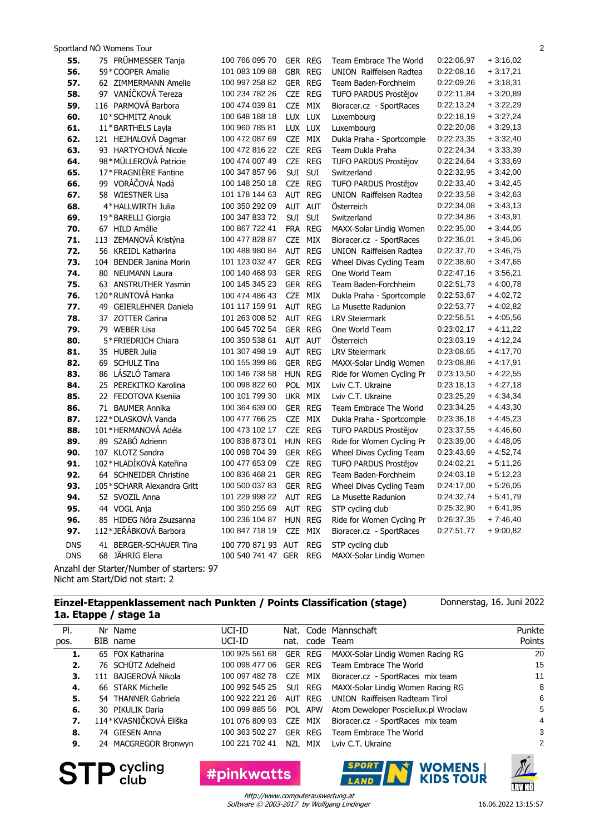Sportland NÖ Womens Tour 2

| 55.        | 75 FRÜHMESSER Tanja                       | 100 766 095 70     | GER REG           | Team Embrace The World         | 0:22:06,97 | $+3:16,02$ |
|------------|-------------------------------------------|--------------------|-------------------|--------------------------------|------------|------------|
| 56.        | 59*COOPER Amalie                          | 101 083 109 88     | GBR REG           | <b>UNION</b> Raiffeisen Radtea | 0:22:08,16 | $+3:17,21$ |
| 57.        | 62 ZIMMERMANN Amelie                      | 100 997 258 82     | GER REG           | Team Baden-Forchheim           | 0:22:09,26 | $+3:18,31$ |
| 58.        | 97 VANÍČKOVÁ Tereza                       | 100 234 782 26     | CZE REG           | TUFO PARDUS Prostějov          | 0:22:11,84 | $+3:20,89$ |
| 59.        | 116 PARMOVÁ Barbora                       | 100 474 039 81     | CZE MIX           | Bioracer.cz - SportRaces       | 0:22:13,24 | $+3:22,29$ |
| 60.        | 10*SCHMITZ Anouk                          | 100 648 188 18     | LUX LUX           | Luxembourg                     | 0:22:18,19 | $+3:27,24$ |
| 61.        | 11*BARTHELS Layla                         | 100 960 785 81     | LUX LUX           | Luxembourg                     | 0:22:20,08 | $+3:29,13$ |
| 62.        | 121 HEJHALOVÁ Dagmar                      | 100 472 087 69     | CZE MIX           | Dukla Praha - Sportcomple      | 0:22:23,35 | $+3:32,40$ |
| 63.        | 93 HARTYCHOVÁ Nicole                      | 100 472 816 22     | CZE REG           | Team Dukla Praha               | 0:22:24,34 | $+3:33,39$ |
| 64.        | 98*MÜLLEROVÁ Patricie                     | 100 474 007 49     | CZE REG           | TUFO PARDUS Prostějov          | 0:22:24,64 | $+3:33,69$ |
| 65.        | 17*FRAGNIÈRE Fantine                      | 100 347 857 96     | SUI SUI           | Switzerland                    | 0:22:32,95 | $+3:42,00$ |
| 66.        | 99 VORÁČOVÁ Nadá                          | 100 148 250 18     | CZE REG           | TUFO PARDUS Prostějov          | 0:22:33,40 | $+3:42,45$ |
| 67.        | 58 WIESTNER Lisa                          | 101 178 144 63     | AUT REG           | UNION Raiffeisen Radtea        | 0:22:33,58 | $+3:42,63$ |
| 68.        | 4*HALLWIRTH Julia                         | 100 350 292 09     | AUT AUT           | Österreich                     | 0:22:34,08 | $+3:43,13$ |
| 69.        | 19*BARELLI Giorgia                        | 100 347 833 72     | SUI SUI           | Switzerland                    | 0:22:34,86 | $+3:43,91$ |
| 70.        | 67 HILD Amélie                            | 100 867 722 41     | FRA REG           | MAXX-Solar Lindig Women        | 0:22:35,00 | $+3:44,05$ |
| 71.        | 113 ZEMANOVÁ Kristýna                     | 100 477 828 87     | CZE MIX           | Bioracer.cz - SportRaces       | 0:22:36,01 | $+3:45,06$ |
| 72.        | 56 KREIDL Katharina                       | 100 488 980 84     | AUT REG           | <b>UNION</b> Raiffeisen Radtea | 0:22:37,70 | $+3:46,75$ |
| 73.        | 104 BENDER Janina Morin                   | 101 123 032 47     | GER REG           | Wheel Divas Cycling Team       | 0:22:38,60 | $+3.47,65$ |
| 74.        | 80 NEUMANN Laura                          | 100 140 468 93     | GER REG           | One World Team                 | 0:22:47,16 | $+3:56,21$ |
| 75.        | 63 ANSTRUTHER Yasmin                      | 100 145 345 23     | GER REG           | Team Baden-Forchheim           | 0:22:51,73 | $+4:00,78$ |
| 76.        | 120 * RUNTOVÁ Hanka                       | 100 474 486 43     | CZE MIX           | Dukla Praha - Sportcomple      | 0:22:53,67 | $+4:02,72$ |
| 77.        | 49 GEIERLEHNER Daniela                    | 101 117 159 91     | AUT REG           | La Musette Radunion            | 0:22:53,77 | $+4:02,82$ |
| 78.        | 37 ZOTTER Carina                          | 101 263 008 52     | AUT REG           | <b>LRV Steiermark</b>          | 0:22:56,51 | $+4:05,56$ |
| 79.        | 79 WEBER Lisa                             | 100 645 702 54     | GER REG           | One World Team                 | 0:23:02,17 | $+4:11,22$ |
| 80.        | 5*FRIEDRICH Chiara                        | 100 350 538 61     | AUT AUT           | Osterreich                     | 0:23:03,19 | $+4:12,24$ |
| 81.        | 35 HUBER Julia                            | 101 307 498 19     | AUT REG           | <b>LRV Steiermark</b>          | 0:23:08,65 | $+4:17,70$ |
| 82.        | 69 SCHULZ Tina                            | 100 155 399 86     | GER REG           | MAXX-Solar Lindig Women        | 0:23:08,86 | $+4:17,91$ |
| 83.        | 86 LÁSZLÓ Tamara                          | 100 146 738 58     | HUN REG           | Ride for Women Cycling Pr      | 0:23:13,50 | $+4:22,55$ |
| 84.        | 25 PEREKITKO Karolina                     | 100 098 822 60     | POL MIX           | Lviv C.T. Ukraine              | 0:23:18,13 | $+4:27,18$ |
| 85.        | 22 FEDOTOVA Ksenija                       | 100 101 799 30     | UKR MIX           | Lviv C.T. Ukraine              | 0:23:25,29 | $+4:34,34$ |
| 86.        | 71 BAUMER Annika                          | 100 364 639 00     | GER REG           | Team Embrace The World         | 0:23:34,25 | $+4:43,30$ |
| 87.        | 122*DLASKOVÁ Vanda                        | 100 477 766 25     | CZE MIX           | Dukla Praha - Sportcomple      | 0:23:36,18 | $+4:45,23$ |
| 88.        | 101*HERMANOVÁ Adéla                       | 100 473 102 17     | CZE REG           | TUFO PARDUS Prostějov          | 0:23:37,55 | $+4:46,60$ |
| 89.        | 89 SZABÓ Adrienn                          | 100 838 873 01     | HUN REG           | Ride for Women Cycling Pr      | 0:23:39,00 | $+4:48,05$ |
| 90.        | 107 KLOTZ Sandra                          | 100 098 704 39     | GER REG           | Wheel Divas Cycling Team       | 0:23:43,69 | $+4.52,74$ |
| 91.        | 102*HLADÍKOVÁ Kateřina                    | 100 477 653 09     | CZE REG           | TUFO PARDUS Prostějov          | 0:24:02,21 | $+5:11,26$ |
| 92.        | 64 SCHNEIDER Christine                    | 100 836 468 21     | GER REG           | Team Baden-Forchheim           | 0:24:03,18 | $+5:12,23$ |
| 93.        | 105*SCHARR Alexandra Gritt                | 100 500 037 83     | GER REG           | Wheel Divas Cycling Team       | 0:24:17,00 | $+5:26,05$ |
| 94.        | 52 SVOZIL Anna                            | 101 229 998 22     | AUT REG           | La Musette Radunion            | 0:24:32,74 | $+5:41,79$ |
| 95.        | 44 VOGL Anja                              | 100 350 255 69     | AUT REG           | STP cycling club               | 0:25:32,90 | $+6.41,95$ |
| 96.        | 85 HIDEG Nóra Zsuzsanna                   | 100 236 104 87     | HUN REG           | Ride for Women Cycling Pr      | 0:26:37,35 | $+7:46,40$ |
| 97.        | 112*JEŘÁBKOVÁ Barbora                     | 100 847 718 19     | <b>CZE</b><br>MIX | Bioracer.cz - SportRaces       | 0:27:51,77 | $+9:00,82$ |
| <b>DNS</b> | 41 BERGER-SCHAUER Tina                    | 100 770 871 93 AUT | <b>REG</b>        | STP cycling club               |            |            |
| <b>DNS</b> | 68 JÄHRIG Elena                           | 100 540 741 47 GER | <b>REG</b>        | MAXX-Solar Lindig Women        |            |            |
|            | Anzahl der Starter/Number of starters: 97 |                    |                   |                                |            |            |

Nicht am Start/Did not start: 2

#### **Einzel-Etappenklassement nach Punkten / Points Classification (stage) 1a. Etappe / stage 1a**

Code Mannschaft code Pl. pos. Nr Name BIB name Team Nat. nat. Punkte Points UCI-ID UCI-ID **1.** 65 FOX Katharina 100 925 561 68 GER REG MAXX-Solar Lindig Women Racing RG 20 **2.** 76 SCHÜTZ Adelheid 100 098 477 06 GER REG Team Embrace The World 15 **3.** 111 BAJGEROVÁ Nikola 100 097 482 78 CZE MIX Bioracer.cz - SportRaces mix team 11 **4.** 66 STARK Michelle 100 992 545 25 SUI REG MAXX-Solar Lindig Women Racing RG 8 **5.** 54 THANNER Gabriela 100 922 221 26 AUT REG UNION Raiffeisen Radteam Tirol 6 **6.** 30 PIKULIK Daria 100 099 885 56 POL APW Atom Deweloper Posciellux.pl Wrocław 5 **7.** 114\*KVASNIČKOVÁ Eliška 101 076 809 93 CZE MIX Bioracer.cz - SportRaces mix team 4 **8.** 74 GIESEN Anna 100 363 502 27 GER REG Team Embrace The World 3 **9.** 24 MACGREGOR Bronwyn 100 221 702 41 NZL MIX Lviv C.T. Ukraine 2



#pinkwatts



**IRVNÖ** 

Software © 2003-2017 by Wolfgang Lindinger http://www.computerauswertung.at

Donnerstag, 16. Juni 2022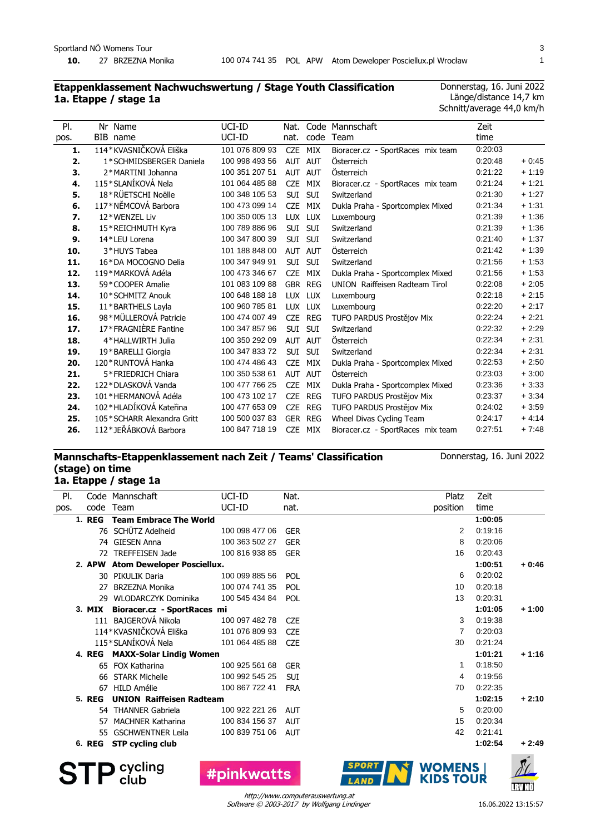#### **Etappenklassement Nachwuchswertung / Stage Youth Classification 1a. Etappe / stage 1a**

Donnerstag, 16. Juni 2022 Länge/distance 14,7 km Schnitt/average 44,0 km/h

| PI.  | Nr Name                    | UCI-ID         | Nat.           |            | Code Mannschaft                       | Zeit    |         |
|------|----------------------------|----------------|----------------|------------|---------------------------------------|---------|---------|
| pos. | BIB name                   | UCI-ID         | nat.           | code       | Team                                  | time    |         |
| 1.   | 114*KVASNIČKOVÁ Eliška     | 101 076 809 93 | CZE MIX        |            | Bioracer.cz - SportRaces mix team     | 0:20:03 |         |
| 2.   | 1*SCHMIDSBERGER Daniela    | 100 998 493 56 | <b>AUT</b>     | <b>AUT</b> | Österreich                            | 0:20:48 | $+0.45$ |
| З.   | 2*MARTINI Johanna          | 100 351 207 51 | AUT AUT        |            | Österreich                            | 0:21:22 | $+1:19$ |
| 4.   | 115*SLANÍKOVÁ Nela         | 101 064 485 88 | <b>CZE</b>     | MIX        | Bioracer.cz - SportRaces mix team     | 0:21:24 | $+1.21$ |
| 5.   | 18*RÜETSCHI Noëlle         | 100 348 105 53 | SUI            | SUI        | Switzerland                           | 0:21:30 | $+1:27$ |
| 6.   | 117*NĚMCOVÁ Barbora        | 100 473 099 14 | <b>CZE</b>     | MIX        | Dukla Praha - Sportcomplex Mixed      | 0:21:34 | $+1:31$ |
| 7.   | 12*WENZEL Liv              | 100 350 005 13 | LUX LUX        |            | Luxembourg                            | 0:21:39 | $+1:36$ |
| 8.   | 15*REICHMUTH Kyra          | 100 789 886 96 | SUI SUI        |            | Switzerland                           | 0:21:39 | $+1:36$ |
| 9.   | 14*LEU Lorena              | 100 347 800 39 | SUI            | SUI        | Switzerland                           | 0:21:40 | $+1:37$ |
| 10.  | 3*HUYS Tabea               | 101 188 848 00 | AUT AUT        |            | Österreich                            | 0:21:42 | $+1:39$ |
| 11.  | 16*DA MOCOGNO Delia        | 100 347 949 91 | SUI            | <b>SUI</b> | Switzerland                           | 0:21:56 | $+1:53$ |
| 12.  | 119*MARKOVÁ Adéla          | 100 473 346 67 | <b>CZE</b>     | MIX        | Dukla Praha - Sportcomplex Mixed      | 0:21:56 | $+1:53$ |
| 13.  | 59 * COOPER Amalie         | 101 083 109 88 | GBR REG        |            | <b>UNION</b> Raiffeisen Radteam Tirol | 0:22:08 | $+2:05$ |
| 14.  | 10*SCHMITZ Anouk           | 100 648 188 18 | LUX LUX        |            | Luxembourg                            | 0:22:18 | $+2:15$ |
| 15.  | 11*BARTHELS Layla          | 100 960 785 81 | LUX LUX        |            | Luxembourg                            | 0:22:20 | $+2:17$ |
| 16.  | 98*MÜLLEROVÁ Patricie      | 100 474 007 49 | CZE REG        |            | TUFO PARDUS Prostějov Mix             | 0:22:24 | $+2:21$ |
| 17.  | 17*FRAGNIÈRE Fantine       | 100 347 857 96 | SUI SUI        |            | Switzerland                           | 0:22:32 | $+2:29$ |
| 18.  | 4*HALLWIRTH Julia          | 100 350 292 09 | AUT            | <b>AUT</b> | Österreich                            | 0:22:34 | $+2:31$ |
| 19.  | 19*BARELLI Giorgia         | 100 347 833 72 | SUI            | SUI        | Switzerland                           | 0:22:34 | $+2:31$ |
| 20.  | 120 * RUNTOVÁ Hanka        | 100 474 486 43 | <b>CZE</b>     | MIX        | Dukla Praha - Sportcomplex Mixed      | 0:22:53 | $+2:50$ |
| 21.  | 5*FRIEDRICH Chiara         | 100 350 538 61 | AUT            | <b>AUT</b> | Österreich                            | 0:23:03 | $+3:00$ |
| 22.  | 122*DLASKOVÁ Vanda         | 100 477 766 25 | <b>CZE</b>     | MIX        | Dukla Praha - Sportcomplex Mixed      | 0:23:36 | $+3.33$ |
| 23.  | 101 * HERMANOVÁ Adéla      | 100 473 102 17 | CZE REG        |            | TUFO PARDUS Prostějov Mix             | 0:23:37 | $+3.34$ |
| 24.  | 102*HLADÍKOVÁ Kateřina     | 100 477 653 09 | <b>CZE</b>     | <b>REG</b> | TUFO PARDUS Prostějov Mix             | 0:24:02 | $+3.59$ |
| 25.  | 105*SCHARR Alexandra Gritt | 100 500 037 83 | <b>GER REG</b> |            | Wheel Divas Cycling Team              | 0:24:17 | $+4.14$ |
| 26.  | 112*JEŘÁBKOVÁ Barbora      | 100 847 718 19 | <b>CZE</b>     | MIX        | Bioracer.cz - SportRaces mix team     | 0:27:51 | $+7.48$ |

#### **Mannschafts-Etappenklassement nach Zeit / Teams' Classification (stage) on time 1a. Etappe / stage 1a**

Donnerstag, 16. Juni 2022

| PI.  |               | Code Mannschaft                   | UCI-ID         | Nat.       | Platz    | Zeit    |                |
|------|---------------|-----------------------------------|----------------|------------|----------|---------|----------------|
| pos. | code          | Team                              | UCI-ID         | nat.       | position | time    |                |
|      | <b>1. REG</b> | <b>Team Embrace The World</b>     |                |            |          | 1:00:05 |                |
|      |               | 76 SCHÜTZ Adelheid                | 100 098 477 06 | <b>GER</b> | 2        | 0:19:16 |                |
|      | 74            | <b>GIESEN Anna</b>                | 100 363 502 27 | <b>GER</b> | 8        | 0:20:06 |                |
|      | 72            | <b>TREFFEISEN Jade</b>            | 100 816 938 85 | <b>GER</b> | 16       | 0:20:43 |                |
|      |               | 2. APW Atom Deweloper Posciellux. |                |            |          | 1:00:51 | $+0:46$        |
|      |               | 30 PIKULIK Daria                  | 100 099 885 56 | POL        | 6        | 0:20:02 |                |
|      | 27            | <b>BRZEZNA Monika</b>             | 100 074 741 35 | POL        | 10       | 0:20:18 |                |
|      | 29            | WLODARCZYK Dominika               | 100 545 434 84 | POL        | 13       | 0:20:31 |                |
|      | 3. MIX        | Bioracer.cz - SportRaces mi       |                |            |          | 1:01:05 | $+1:00$        |
|      |               | 111 BAJGEROVÁ Nikola              | 100 097 482 78 | <b>CZE</b> | 3        | 0:19:38 |                |
|      |               | 114*KVASNIČKOVÁ Eliška            | 101 076 809 93 | <b>CZE</b> | 7        | 0.20:03 |                |
|      |               | 115*SLANÍKOVÁ Nela                | 101 064 485 88 | <b>CZE</b> | 30       | 0:21:24 |                |
|      |               | 4. REG MAXX-Solar Lindig Women    |                |            |          | 1:01:21 | $+1:16$        |
|      |               | 65 FOX Katharina                  | 100 925 561 68 | <b>GER</b> | 1        | 0:18:50 |                |
|      | 66            | <b>STARK Michelle</b>             | 100 992 545 25 | <b>SUI</b> | 4        | 0:19:56 |                |
|      | 67            | HILD Amélie                       | 100 867 722 41 | <b>FRA</b> | 70       | 0:22:35 |                |
|      | <b>5. REG</b> | <b>UNION Raiffeisen Radteam</b>   |                |            |          | 1:02:15 | $+2:10$        |
|      |               | 54 THANNER Gabriela               | 100 922 221 26 | AUT        | 5        | 0.20.00 |                |
|      | 57            | <b>MACHNER Katharina</b>          | 100 834 156 37 | AUT        | 15       | 0:20:34 |                |
|      | 55            | <b>GSCHWENTNER Leila</b>          | 100 839 751 06 | <b>AUT</b> | 42       | 0.21.41 |                |
|      | 6. REG        | <b>STP cycling club</b>           |                |            |          | 1:02:54 | $+2:49$        |
|      |               |                                   |                |            |          |         | $\overline{a}$ |

Software © 2003-2017 by Wolfgang Lindinger http://www.computerauswertung.at

**STP** Sycling

**#pinkwatts** 

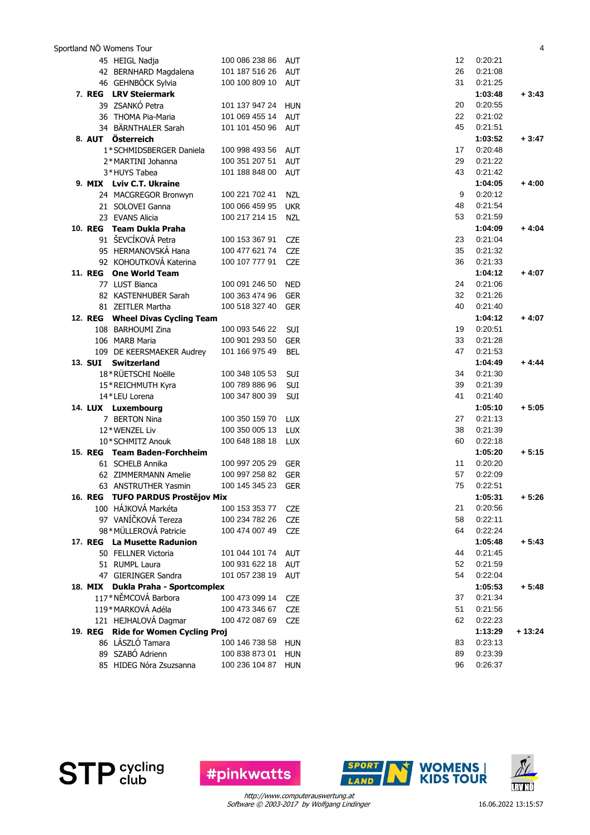|  | Sportland NÖ Womens Tour            |                    |            |    |         | 4        |
|--|-------------------------------------|--------------------|------------|----|---------|----------|
|  | 45 HEIGL Nadja                      | 100 086 238 86     | AUT        | 12 | 0:20:21 |          |
|  | 42 BERNHARD Magdalena               | 101 187 516 26     | <b>AUT</b> | 26 | 0:21:08 |          |
|  | 46 GEHNBÖCK Sylvia                  | 100 100 809 10 AUT |            | 31 | 0:21:25 |          |
|  | 7. REG LRV Steiermark               |                    |            |    | 1:03:48 | $+3:43$  |
|  | 39 ZSANKÓ Petra                     | 101 137 947 24     | <b>HUN</b> | 20 | 0:20:55 |          |
|  | 36 THOMA Pia-Maria                  | 101 069 455 14     | <b>AUT</b> | 22 | 0:21:02 |          |
|  | 34 BÄRNTHALER Sarah                 | 101 101 450 96 AUT |            | 45 | 0:21:51 |          |
|  | 8. AUT Österreich                   |                    |            |    | 1:03:52 | $+3:47$  |
|  | 1*SCHMIDSBERGER Daniela             | 100 998 493 56     | <b>AUT</b> | 17 | 0:20:48 |          |
|  | 2*MARTINI Johanna                   | 100 351 207 51     | <b>AUT</b> | 29 | 0:21:22 |          |
|  | 3*HUYS Tabea                        | 101 188 848 00     | <b>AUT</b> | 43 | 0:21:42 |          |
|  | 9. MIX Lviv C.T. Ukraine            |                    |            |    | 1:04:05 | $+4:00$  |
|  | 24 MACGREGOR Bronwyn                | 100 221 702 41     | <b>NZL</b> | 9  | 0:20:12 |          |
|  |                                     |                    |            | 48 | 0.21.54 |          |
|  | 21 SOLOVEI Ganna<br>23 EVANS Alicia | 100 066 459 95     | <b>UKR</b> | 53 | 0:21:59 |          |
|  |                                     | 100 217 214 15     | <b>NZL</b> |    |         |          |
|  | 10. REG Team Dukla Praha            |                    |            |    | 1:04:09 | $+4:04$  |
|  | 91 ŠEVCÍKOVÁ Petra                  | 100 153 367 91     | <b>CZE</b> | 23 | 0:21:04 |          |
|  | 95 HERMANOVSKÁ Hana                 | 100 477 621 74     | CZE        | 35 | 0:21:32 |          |
|  | 92 KOHOUTKOVÁ Katerina              | 100 107 777 91     | <b>CZE</b> | 36 | 0:21:33 |          |
|  | 11. REG One World Team              |                    |            |    | 1:04:12 | $+4:07$  |
|  | 77 LUST Bianca                      | 100 091 246 50     | <b>NED</b> | 24 | 0:21:06 |          |
|  | 82 KASTENHUBER Sarah                | 100 363 474 96     | <b>GER</b> | 32 | 0:21:26 |          |
|  | 81 ZEITLER Martha                   | 100 518 327 40     | <b>GER</b> | 40 | 0.21.40 |          |
|  | 12. REG Wheel Divas Cycling Team    |                    |            |    | 1:04:12 | $+4:07$  |
|  | 108 BARHOUMI Zina                   | 100 093 546 22     | SUI        | 19 | 0:20:51 |          |
|  | 106 MARB Maria                      | 100 901 293 50     | <b>GER</b> | 33 | 0:21:28 |          |
|  | 109 DE KEERSMAEKER Audrey           | 101 166 975 49     | <b>BEL</b> | 47 | 0.21:53 |          |
|  | 13. SUI Switzerland                 |                    |            |    | 1:04:49 | $+4:44$  |
|  | 18*RÜETSCHI Noëlle                  | 100 348 105 53     | SUI        | 34 | 0:21:30 |          |
|  | 15*REICHMUTH Kyra                   | 100 789 886 96     | <b>SUI</b> | 39 | 0:21:39 |          |
|  | 14*LEU Lorena                       | 100 347 800 39     | SUI        | 41 | 0.21.40 |          |
|  | 14. LUX Luxembourg                  |                    |            |    | 1:05:10 | $+5:05$  |
|  | 7 BERTON Nina                       | 100 350 159 70     | <b>LUX</b> | 27 | 0:21:13 |          |
|  | 12*WENZEL Liv                       | 100 350 005 13     | <b>LUX</b> | 38 | 0:21:39 |          |
|  | 10*SCHMITZ Anouk                    | 100 648 188 18     | <b>LUX</b> | 60 | 0:22:18 |          |
|  | 15. REG Team Baden-Forchheim        |                    |            |    | 1:05:20 | $+5:15$  |
|  | 61 SCHELB Annika                    | 100 997 205 29     | <b>GER</b> | 11 | 0:20:20 |          |
|  | 62 ZIMMERMANN Amelie                | 100 997 258 82     | GER        | 57 | 0:22:09 |          |
|  | 63 ANSTRUTHER Yasmin                | 100 145 345 23 GER |            | 75 | 0.22:51 |          |
|  | 16. REG TUFO PARDUS Prostějov Mix   |                    |            |    | 1:05:31 | $+5:26$  |
|  | 100 HÁJKOVÁ Markéta                 | 100 153 353 77     | <b>CZE</b> | 21 | 0:20:56 |          |
|  | 97 VANÍČKOVÁ Tereza                 | 100 234 782 26     | <b>CZE</b> | 58 | 0:22:11 |          |
|  | 98*MÜLLEROVÁ Patricie               | 100 474 007 49 CZE |            | 64 | 0:22:24 |          |
|  | 17. REG La Musette Radunion         |                    |            |    | 1:05:48 | $+5:43$  |
|  | 50 FELLNER Victoria                 | 101 044 101 74 AUT |            | 44 | 0:21:45 |          |
|  | 51 RUMPL Laura                      | 100 931 622 18     | AUT        | 52 | 0:21:59 |          |
|  | 47 GIERINGER Sandra                 | 101 057 238 19     | <b>AUT</b> | 54 | 0:22:04 |          |
|  | 18. MIX Dukla Praha - Sportcomplex  |                    |            |    | 1:05:53 | $+5:48$  |
|  | 117*NĚMCOVÁ Barbora                 | 100 473 099 14     | <b>CZE</b> | 37 | 0:21:34 |          |
|  | 119*MARKOVÁ Adéla                   |                    |            |    |         |          |
|  |                                     | 100 473 346 67     | <b>CZE</b> | 51 | 0:21:56 |          |
|  | 121 HEJHALOVÁ Dagmar                | 100 472 087 69     | CZE        | 62 | 0:22:23 |          |
|  | 19. REG Ride for Women Cycling Proj |                    |            |    | 1:13:29 | $+13:24$ |
|  | 86 LÁSZLÓ Tamara                    | 100 146 738 58     | <b>HUN</b> | 83 | 0:23:13 |          |
|  | 89 SZABÓ Adrienn                    | 100 838 873 01     | HUN        | 89 | 0:23:39 |          |
|  | 85 HIDEG Nóra Zsuzsanna             | 100 236 104 87 HUN |            | 96 | 0:26:37 |          |



**WOMENS |<br>KIDS TOUR** 

Software © 2003-2017 by Wolfgang Lindinger http://www.computerauswertung.at

**#pinkwatts** 

**SPORT** 

LAND

**STP** cycling

16.06.2022 13:15:57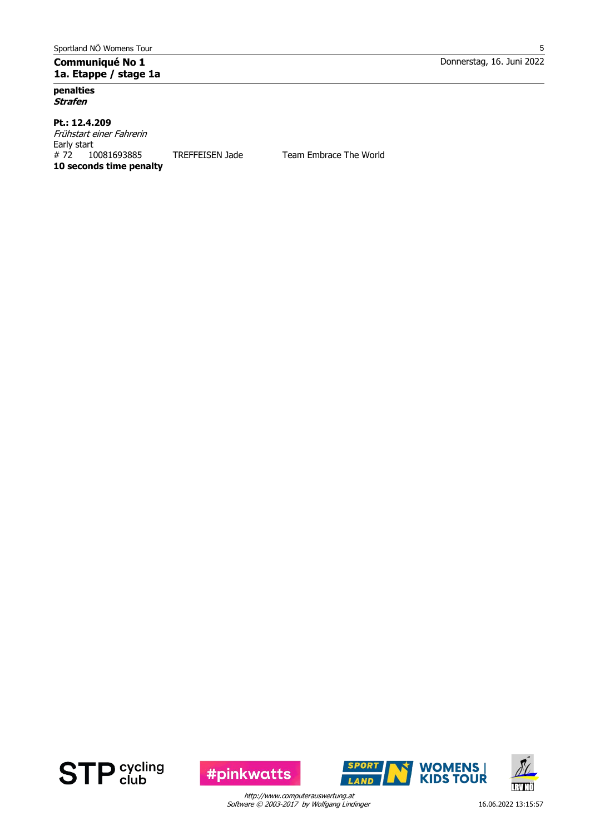## **Communiqué No 1 1a. Etappe / stage 1a**

**penalties Strafen**

#### **Pt.: 12.4.209** Frühstart einer Fahrerin Early start # 72 10081693885 TREFFEISEN Jade Team Embrace The World **10 seconds time penalty**





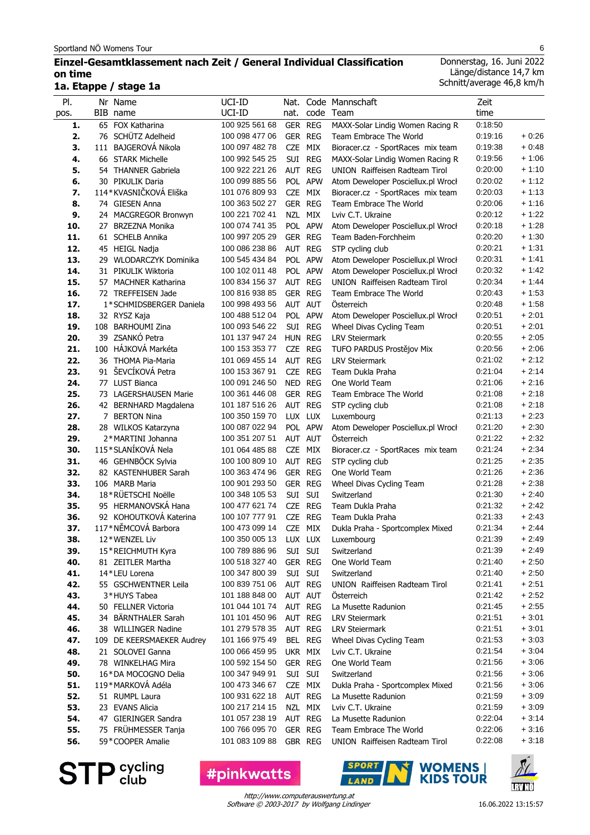#### **Einzel-Gesamtklassement nach Zeit / General Individual Classification on time 1a. Etappe / stage 1a**

Donnerstag, 16. Juni 2022 Länge/distance 14,7 km Schnitt/average 46,8 km/h

| PI.  |   | Nr Name                   | UCI-ID                 |            |            | Nat. Code Mannschaft               | Zeit    |         |
|------|---|---------------------------|------------------------|------------|------------|------------------------------------|---------|---------|
| pos. |   | BIB name                  | UCI-ID                 | nat.       |            | code Team                          | time    |         |
| 1.   |   | 65 FOX Katharina          | 100 925 561 68         |            | GER REG    | MAXX-Solar Lindig Women Racing R   | 0:18:50 |         |
| 2.   |   | 76 SCHÜTZ Adelheid        | 100 098 477 06         |            | GER REG    | Team Embrace The World             | 0:19:16 | + 0:26  |
| 3.   |   | 111 BAJGEROVÁ Nikola      | 100 097 482 78         | <b>CZE</b> | MIX        | Bioracer.cz - SportRaces mix team  | 0:19:38 | $+0:48$ |
| 4.   |   | 66 STARK Michelle         | 100 992 545 25         | SUI        | <b>REG</b> | MAXX-Solar Lindig Women Racing R   | 0:19:56 | $+1:06$ |
| 5.   |   | 54 THANNER Gabriela       | 100 922 221 26         | AUT        | <b>REG</b> | UNION Raiffeisen Radteam Tirol     | 0:20:00 | $+1:10$ |
| 6.   |   | 30 PIKULIK Daria          | 100 099 885 56         |            | POL APW    | Atom Deweloper Posciellux.pl Wrocł | 0:20:02 | $+1:12$ |
| 7.   |   | 114*KVASNIČKOVÁ Eliška    | 101 076 809 93         | <b>CZE</b> | MIX        | Bioracer.cz - SportRaces mix team  | 0:20:03 | $+1:13$ |
| 8.   |   | 74 GIESEN Anna            | 100 363 502 27         |            | GER REG    | Team Embrace The World             | 0:20:06 | $+1:16$ |
| 9.   |   | 24 MACGREGOR Bronwyn      | 100 221 702 41         |            | NZL MIX    | Lviv C.T. Ukraine                  | 0:20:12 | $+1:22$ |
| 10.  |   | 27 BRZEZNA Monika         | 100 074 741 35         |            | POL APW    | Atom Deweloper Posciellux.pl Wrocł | 0:20:18 | $+1:28$ |
| 11.  |   | 61 SCHELB Annika          | 100 997 205 29         |            | GER REG    | Team Baden-Forchheim               | 0:20:20 | $+1:30$ |
| 12.  |   | 45 HEIGL Nadja            | 100 086 238 86         |            | AUT REG    | STP cycling club                   | 0:20:21 | $+1:31$ |
| 13.  |   | 29 WLODARCZYK Dominika    | 100 545 434 84         |            | POL APW    | Atom Deweloper Posciellux.pl Wrocł | 0:20:31 | $+1:41$ |
| 14.  |   | 31 PIKULIK Wiktoria       | 100 102 011 48         |            | POL APW    | Atom Deweloper Posciellux.pl Wrocł | 0:20:32 | $+1:42$ |
| 15.  |   | 57 MACHNER Katharina      | 100 834 156 37         |            | AUT REG    | UNION Raiffeisen Radteam Tirol     | 0:20:34 | $+1:44$ |
| 16.  |   | 72 TREFFEISEN Jade        | 100 816 938 85         | <b>GER</b> | <b>REG</b> | Team Embrace The World             | 0:20:43 | $+1:53$ |
| 17.  |   | 1*SCHMIDSBERGER Daniela   | 100 998 493 56         |            | AUT AUT    | Österreich                         | 0:20:48 | $+1:58$ |
| 18.  |   | 32 RYSZ Kaja              | 100 488 512 04         |            | POL APW    | Atom Deweloper Posciellux.pl Wrocł | 0:20:51 | $+2:01$ |
| 19.  |   | 108 BARHOUMI Zina         | 100 093 546 22         |            | SUI REG    | Wheel Divas Cycling Team           | 0:20:51 | $+2:01$ |
| 20.  |   | 39 ZSANKÓ Petra           | 101 137 947 24         |            | HUN REG    | <b>LRV Steiermark</b>              | 0:20:55 | $+2:05$ |
| 21.  |   | 100 HÁJKOVÁ Markéta       | 100 153 353 77         | CZE        | <b>REG</b> | TUFO PARDUS Prostějov Mix          | 0:20:56 | $+2:06$ |
| 22.  |   | 36 THOMA Pia-Maria        | 101 069 455 14         |            | AUT REG    | <b>LRV Steiermark</b>              | 0:21:02 | $+2:12$ |
| 23.  |   | 91 ŠEVCÍKOVÁ Petra        | 100 153 367 91         |            | CZE REG    | Team Dukla Praha                   | 0:21:04 | $+2:14$ |
| 24.  |   | 77 LUST Bianca            | 100 091 246 50         | <b>NED</b> | <b>REG</b> | One World Team                     | 0:21:06 | $+2:16$ |
| 25.  |   | 73 LAGERSHAUSEN Marie     | 100 361 446 08         |            | GER REG    | Team Embrace The World             | 0:21:08 | $+2:18$ |
| 26.  |   | 42 BERNHARD Magdalena     | 101 187 516 26         |            | AUT REG    | STP cycling club                   | 0:21:08 | $+2:18$ |
| 27.  | 7 | <b>BERTON Nina</b>        | 100 350 159 70         |            | LUX LUX    | Luxembourg                         | 0:21:13 | $+2:23$ |
| 28.  |   | 28 WILKOS Katarzyna       | 100 087 022 94         |            | POL APW    | Atom Deweloper Posciellux.pl Wrocł | 0:21:20 | $+2:30$ |
| 29.  |   | 2*MARTINI Johanna         | 100 351 207 51         |            | AUT AUT    | Österreich                         | 0:21:22 | $+2:32$ |
| 30.  |   | 115*SLANÍKOVÁ Nela        | 101 064 485 88         | <b>CZE</b> | MIX        | Bioracer.cz - SportRaces mix team  | 0:21:24 | $+2:34$ |
| 31.  |   | 46 GEHNBÖCK Sylvia        | 100 100 809 10         | AUT        | <b>REG</b> | STP cycling club                   | 0:21:25 | $+2:35$ |
| 32.  |   | 82 KASTENHUBER Sarah      | 100 363 474 96         |            | GER REG    | One World Team                     | 0:21:26 | $+2:36$ |
| 33.  |   | 106 MARB Maria            | 100 901 293 50         | <b>GER</b> | <b>REG</b> | Wheel Divas Cycling Team           | 0:21:28 | $+2:38$ |
| 34.  |   | 18*RÜETSCHI Noëlle        | 100 348 105 53         |            | SUI SUI    | Switzerland                        | 0:21:30 | $+2:40$ |
| 35.  |   | 95 HERMANOVSKÁ Hana       | 100 477 621 74         |            | CZE REG    | Team Dukla Praha                   | 0:21:32 | $+2:42$ |
| 36.  |   | 92 KOHOUTKOVÁ Katerina    | 100 107 777 91         |            | CZE REG    | Team Dukla Praha                   | 0:21:33 | $+2:43$ |
| 37.  |   | 117*NĚMCOVÁ Barbora       | 100 473 099 14         |            | CZE MIX    | Dukla Praha - Sportcomplex Mixed   | 0:21:34 | $+2:44$ |
| 38.  |   | 12*WENZEL Liv             | 100 350 005 13 LUX LUX |            |            | Luxembourg                         | 0:21:39 | $+2:49$ |
| 39.  |   | 15*REICHMUTH Kyra         | 100 789 886 96         |            | SUI SUI    | Switzerland                        | 0:21:39 | $+2:49$ |
| 40.  |   | 81 ZEITLER Martha         | 100 518 327 40         |            | GER REG    | One World Team                     | 0:21:40 | $+2:50$ |
| 41.  |   | 14*LEU Lorena             | 100 347 800 39         |            | SUI SUI    | Switzerland                        | 0:21:40 | $+2:50$ |
| 42.  |   | 55 GSCHWENTNER Leila      | 100 839 751 06         |            | AUT REG    | UNION Raiffeisen Radteam Tirol     | 0:21:41 | $+2:51$ |
| 43.  |   | 3*HUYS Tabea              | 101 188 848 00         |            | AUT AUT    | Osterreich                         | 0:21:42 | + 2:52  |
| 44.  |   | 50 FELLNER Victoria       | 101 044 101 74         |            | AUT REG    | La Musette Radunion                | 0:21:45 | + 2:55  |
| 45.  |   | 34 BÄRNTHALER Sarah       | 101 101 450 96         |            | AUT REG    | <b>LRV Steiermark</b>              | 0:21:51 | $+3:01$ |
| 46.  |   | 38 WILLINGER Nadine       | 101 279 578 35         |            | AUT REG    | <b>LRV Steiermark</b>              | 0:21:51 | $+3:01$ |
| 47.  |   | 109 DE KEERSMAEKER Audrey | 101 166 975 49         |            | BEL REG    | Wheel Divas Cycling Team           | 0:21:53 | $+3.03$ |
| 48.  |   | 21 SOLOVEI Ganna          | 100 066 459 95         |            | UKR MIX    | Lviv C.T. Ukraine                  | 0:21:54 | + 3:04  |
| 49.  |   | 78 WINKELHAG Mira         | 100 592 154 50         |            | GER REG    | One World Team                     | 0:21:56 | + 3:06  |
| 50.  |   | 16*DA MOCOGNO Delia       | 100 347 949 91         |            | SUI SUI    | Switzerland                        | 0:21:56 | + 3:06  |
| 51.  |   | 119*MARKOVÁ Adéla         | 100 473 346 67         |            | CZE MIX    | Dukla Praha - Sportcomplex Mixed   | 0:21:56 | $+3:06$ |
| 52.  |   | 51 RUMPL Laura            | 100 931 622 18         |            | AUT REG    | La Musette Radunion                | 0:21:59 | + 3:09  |
| 53.  |   | 23 EVANS Alicia           | 100 217 214 15         |            | NZL MIX    | Lviv C.T. Ukraine                  | 0:21:59 | $+3:09$ |
| 54.  |   | 47 GIERINGER Sandra       | 101 057 238 19         |            | AUT REG    | La Musette Radunion                | 0:22:04 | $+3:14$ |
| 55.  |   | 75 FRÜHMESSER Tanja       | 100 766 095 70         |            | GER REG    | Team Embrace The World             | 0:22:06 | $+3:16$ |
| 56.  |   | 59*COOPER Amalie          | 101 083 109 88         |            | GBR REG    | UNION Raiffeisen Radteam Tirol     | 0:22:08 | $+3:18$ |

**STP** cycling

**#pinkwatts** 



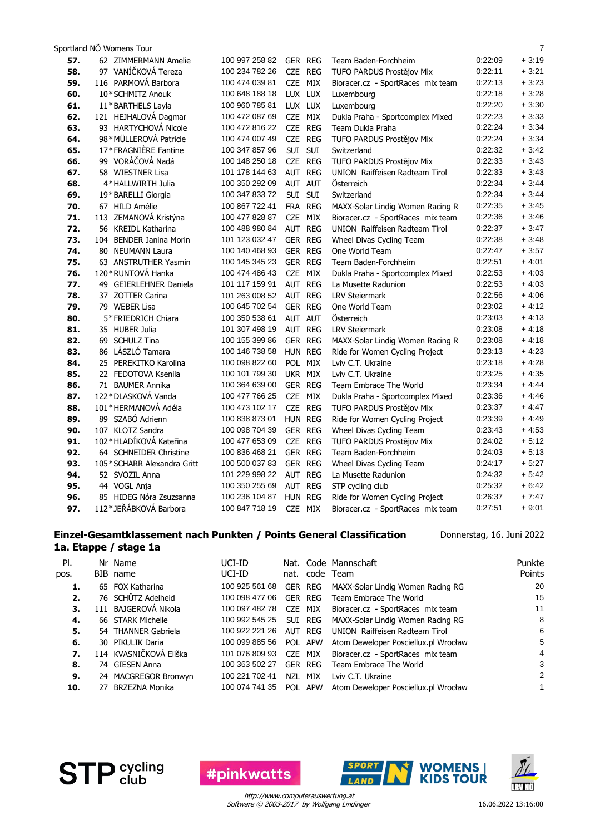| Sportland NÖ Womens Tour |  |
|--------------------------|--|
|                          |  |

| 57.        | 62 ZIMMERMANN Amelie                             | 100 997 258 82 | <b>GER REG</b> | Team Baden-Forchheim              | 0.22.09            | $+3:19$            |
|------------|--------------------------------------------------|----------------|----------------|-----------------------------------|--------------------|--------------------|
| 58.        | 97 VANÍČKOVÁ Tereza                              | 100 234 782 26 | CZE REG        | TUFO PARDUS Prostějov Mix         | 0:22:11            | $+3:21$            |
| 59.        | 116 PARMOVÁ Barbora                              | 100 474 039 81 | CZE MIX        | Bioracer.cz - SportRaces mix team | 0:22:13            | $+3:23$            |
| 60.        | 10*SCHMITZ Anouk                                 | 100 648 188 18 | LUX LUX        | Luxembourg                        | 0:22:18            | $+3:28$            |
| 61.        | 11*BARTHELS Layla                                | 100 960 785 81 | LUX LUX        | Luxembourg                        | 0:22:20            | $+3:30$            |
| 62.        | 121 HEJHALOVÁ Dagmar                             | 100 472 087 69 | CZE MIX        | Dukla Praha - Sportcomplex Mixed  | 0:22:23            | $+3:33$            |
| 63.        | 93 HARTYCHOVÁ Nicole                             | 100 472 816 22 | CZE REG        | Team Dukla Praha                  | 0:22:24            | $+3:34$            |
| 64.        | 98*MÜLLEROVÁ Patricie                            | 100 474 007 49 | CZE REG        | TUFO PARDUS Prostějov Mix         | 0.22.24            | $+3:34$            |
| 65.        | 17*FRAGNIÈRE Fantine                             | 100 347 857 96 | SUI SUI        | Switzerland                       | 0.22.32            | $+3:42$            |
| 66.        | 99 VORÁČOVÁ Nadá                                 | 100 148 250 18 | CZE REG        | TUFO PARDUS Prostějov Mix         | 0:22:33            | $+3:43$            |
| 67.        | 58 WIESTNER Lisa                                 | 101 178 144 63 | AUT REG        | UNION Raiffeisen Radteam Tirol    | 0:22:33            | $+3.43$            |
| 68.        | 4*HALLWIRTH Julia                                | 100 350 292 09 | AUT AUT        | <b>Osterreich</b>                 | 0:22:34            | $+3:44$            |
| 69.        | 19*BARELLI Giorgia                               | 100 347 833 72 | SUI SUI        | Switzerland                       | 0:22:34            | $+3.44$            |
| 70.        | 67 HILD Amélie                                   | 100 867 722 41 | FRA REG        | MAXX-Solar Lindig Women Racing R  | 0:22:35            | $+3:45$            |
| 71.        | 113 ZEMANOVÁ Kristýna                            | 100 477 828 87 | CZE MIX        | Bioracer.cz - SportRaces mix team | 0:22:36            | $+3:46$            |
| 72.        | 56 KREIDL Katharina                              | 100 488 980 84 | AUT REG        | UNION Raiffeisen Radteam Tirol    | 0:22:37            | $+3:47$            |
| 73.        | 104 BENDER Janina Morin                          | 101 123 032 47 | GER REG        | Wheel Divas Cycling Team          | 0:22:38            | $+3.48$            |
| 74.        | 80 NEUMANN Laura                                 | 100 140 468 93 | GER REG        | One World Team                    | 0:22:47            | $+3:57$            |
| 75.        | 63 ANSTRUTHER Yasmin                             | 100 145 345 23 | <b>GER REG</b> | Team Baden-Forchheim              | 0.22:51            | $+4:01$            |
| 76.        | 120 * RUNTOVÁ Hanka                              | 100 474 486 43 | CZE MIX        | Dukla Praha - Sportcomplex Mixed  | 0:22:53            | $+4:03$            |
| 77.        | 49 GEIERLEHNER Daniela                           | 101 117 159 91 | AUT REG        | La Musette Radunion               | 0:22:53            | $+4:03$            |
| 78.        | 37 ZOTTER Carina                                 | 101 263 008 52 | AUT REG        | <b>LRV Steiermark</b>             | 0:22:56            | $+4:06$            |
| 79.        | 79 WEBER Lisa                                    | 100 645 702 54 | GER REG        | One World Team                    | 0.23.02            | $+4:12$            |
| 80.        | 5*FRIEDRICH Chiara                               | 100 350 538 61 | AUT AUT        | Österreich                        | 0.23.03            | $+4.13$            |
| 81.        | 35 HUBER Julia                                   | 101 307 498 19 | AUT REG        | <b>LRV Steiermark</b>             | 0:23:08            | + 4:18             |
| 82.        | 69 SCHULZ Tina                                   | 100 155 399 86 | <b>GER REG</b> | MAXX-Solar Lindig Women Racing R  | 0:23:08            | + 4:18             |
| 83.        | 86 LÁSZLÓ Tamara                                 | 100 146 738 58 | HUN REG        | Ride for Women Cycling Project    | 0:23:13            | $+4:23$            |
| 84.        | 25 PEREKITKO Karolina                            | 100 098 822 60 | POL MIX        | Lviv C.T. Ukraine                 | 0:23:18            | $+4:28$            |
| 85.        | 22 FEDOTOVA Ksenija                              | 100 101 799 30 | UKR MIX        | Lviv C.T. Ukraine                 | 0:23:25            | $+4:35$            |
| 86.        | 71 BAUMER Annika                                 | 100 364 639 00 | GER REG        | Team Embrace The World            | 0.23.34            | $+4:44$            |
| 87.        | 122*DLASKOVÁ Vanda                               | 100 477 766 25 | CZE MIX        | Dukla Praha - Sportcomplex Mixed  | 0:23:36            | $+4:46$            |
| 88.        | 101 * HERMANOVÁ Adéla                            | 100 473 102 17 | CZE REG        | TUFO PARDUS Prostějov Mix         | 0:23:37            | + 4:47             |
| 89.        | 89 SZABÓ Adrienn                                 | 100 838 873 01 | HUN REG        | Ride for Women Cycling Project    | 0:23:39            | $+4.49$            |
| 90.        | 107 KLOTZ Sandra                                 | 100 098 704 39 | GER REG        | Wheel Divas Cycling Team          | 0:23:43            | $+4.53$            |
| 91.        | 102*HLADÍKOVÁ Kateřina                           | 100 477 653 09 | CZE REG        | TUFO PARDUS Prostějov Mix         | 0:24:02            | $+5.12$            |
| 92.        | 64 SCHNEIDER Christine                           | 100 836 468 21 | GER REG        | Team Baden-Forchheim              | 0:24:03            | $+5:13$            |
| 93.        | 105*SCHARR Alexandra Gritt                       | 100 500 037 83 | GER REG        | Wheel Divas Cycling Team          | 0:24:17            | $+5:27$            |
| 94.        | 52 SVOZIL Anna                                   | 101 229 998 22 | AUT REG        | La Musette Radunion               | 0:24:32<br>0:25:32 | $+5:42$            |
| 95.        | 44 VOGL Anja                                     | 100 350 255 69 | AUT REG        | STP cycling club                  | 0.26.37            | $+6.42$<br>$+7:47$ |
| 96.<br>97. | 85 HIDEG Nóra Zsuzsanna<br>112*JEŘÁBKOVÁ Barbora | 100 236 104 87 | HUN REG        | Ride for Women Cycling Project    | 0:27:51            | $+9:01$            |
|            |                                                  | 100 847 718 19 | CZE MIX        | Bioracer.cz - SportRaces mix team |                    |                    |

#### **Einzel-Gesamtklassement nach Punkten / Points General Classification 1a. Etappe / stage 1a**

Donnerstag, 16. Juni 2022

|      | ra, rrahhe I srane ta |                        |                |     |                |                                      |        |  |  |  |
|------|-----------------------|------------------------|----------------|-----|----------------|--------------------------------------|--------|--|--|--|
| PI.  |                       | Nr Name                | UCI-ID         |     |                | Nat. Code Mannschaft                 | Punkte |  |  |  |
| pos. |                       | BIB name               | UCI-ID         |     |                | nat. code Team                       | Points |  |  |  |
| 1.   |                       | 65 FOX Katharina       | 100 925 561 68 |     | <b>GER REG</b> | MAXX-Solar Lindig Women Racing RG    | 20     |  |  |  |
| 2.   |                       | 76 SCHÜTZ Adelheid     | 100 098 477 06 |     | GER REG        | Team Embrace The World               | 15     |  |  |  |
| З.   |                       | 111 BAJGEROVÁ Nikola   | 100 097 482 78 |     | CZE MIX        | Bioracer.cz - SportRaces mix team    | 11     |  |  |  |
| 4.   |                       | 66 STARK Michelle      | 100 992 545 25 |     | SUI REG        | MAXX-Solar Lindig Women Racing RG    | 8      |  |  |  |
| 5.   |                       | 54 THANNER Gabriela    | 100 922 221 26 |     | AUT REG        | UNION Raiffeisen Radteam Tirol       | 6      |  |  |  |
| 6.   |                       | 30 PIKULIK Daria       | 100 099 885 56 |     | POL APW        | Atom Deweloper Posciellux.pl Wrocław | 5      |  |  |  |
| 7.   |                       | 114 KVASNIČKOVÁ Eliška | 101 076 809 93 |     | CZE MIX        | Bioracer.cz - SportRaces mix team    | 4      |  |  |  |
| 8.   |                       | 74 GIESEN Anna         | 100 363 502 27 |     | GER REG        | Team Embrace The World               | 3      |  |  |  |
| 9.   |                       | 24 MACGREGOR Bronwyn   | 100 221 702 41 | NZL | MIX            | Lviv C.T. Ukraine                    | 2      |  |  |  |
| 10.  |                       | 27 BRZEZNA Monika      | 100 074 741 35 |     | POL APW        | Atom Deweloper Posciellux.pl Wrocław | 1      |  |  |  |
|      |                       |                        |                |     |                |                                      |        |  |  |  |



**#pinkwatts** 

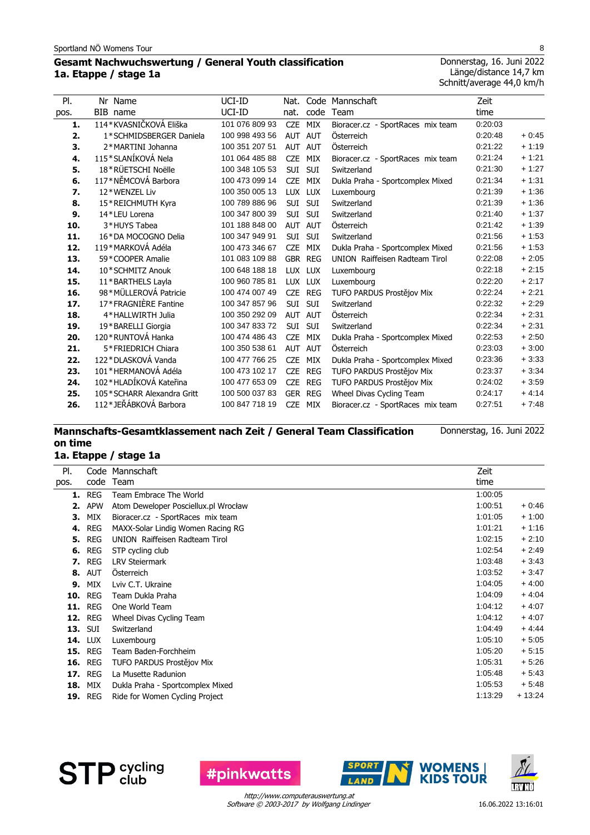## **Gesamt Nachwuchswertung / General Youth classification 1a. Etappe / stage 1a**

Donnerstag, 16. Juni 2022 Länge/distance 14,7 km Schnitt/average 44,0 km/h

| PI.  | Nr Name                    | UCI-ID         | Nat.       |            | Code Mannschaft                       | Zeit    |         |
|------|----------------------------|----------------|------------|------------|---------------------------------------|---------|---------|
| pos. | BIB<br>name                | UCI-ID         | nat.       | code       | Team                                  | time    |         |
| 1.   | 114*KVASNIČKOVÁ Eliška     | 101 076 809 93 | <b>CZE</b> | <b>MIX</b> | Bioracer.cz - SportRaces mix team     | 0:20:03 |         |
| 2.   | 1*SCHMIDSBERGER Daniela    | 100 998 493 56 | AUT AUT    |            | Österreich                            | 0:20:48 | $+0:45$ |
| 3.   | 2*MARTINI Johanna          | 100 351 207 51 | <b>AUT</b> | <b>AUT</b> | Österreich                            | 0:21:22 | $+1:19$ |
| 4.   | 115*SLANÍKOVÁ Nela         | 101 064 485 88 | <b>CZE</b> | MIX        | Bioracer.cz - SportRaces mix team     | 0:21:24 | $+1:21$ |
| 5.   | 18*RÜETSCHI Noëlle         | 100 348 105 53 | <b>SUI</b> | <b>SUI</b> | Switzerland                           | 0:21:30 | $+1:27$ |
| 6.   | 117*NĚMCOVÁ Barbora        | 100 473 099 14 | <b>CZE</b> | MIX        | Dukla Praha - Sportcomplex Mixed      | 0:21:34 | $+1:31$ |
| 7.   | 12*WENZEL Liv              | 100 350 005 13 |            | LUX LUX    | Luxembourg                            | 0:21:39 | $+1:36$ |
| 8.   | 15*REICHMUTH Kyra          | 100 789 886 96 | <b>SUI</b> | <b>SUI</b> | Switzerland                           | 0:21:39 | $+1:36$ |
| 9.   | 14*LEU Lorena              | 100 347 800 39 | SUI        | SUI        | Switzerland                           | 0:21:40 | $+1:37$ |
| 10.  | 3*HUYS Tabea               | 101 188 848 00 | AUT AUT    |            | Österreich                            | 0:21:42 | $+1:39$ |
| 11.  | 16*DA MOCOGNO Delia        | 100 347 949 91 | <b>SUI</b> | <b>SUI</b> | Switzerland                           | 0:21:56 | $+1:53$ |
| 12.  | 119*MARKOVÁ Adéla          | 100 473 346 67 | <b>CZE</b> | MIX        | Dukla Praha - Sportcomplex Mixed      | 0:21:56 | $+1:53$ |
| 13.  | 59*COOPER Amalie           | 101 083 109 88 |            | GBR REG    | <b>UNION</b> Raiffeisen Radteam Tirol | 0:22:08 | $+2:05$ |
| 14.  | 10*SCHMITZ Anouk           | 100 648 188 18 | <b>LUX</b> | <b>LUX</b> | Luxembourg                            | 0:22:18 | $+2:15$ |
| 15.  | 11*BARTHELS Layla          | 100 960 785 81 |            | LUX LUX    | Luxembourg                            | 0:22:20 | $+2:17$ |
| 16.  | 98*MÜLLEROVÁ Patricie      | 100 474 007 49 | <b>CZE</b> | REG        | TUFO PARDUS Prostějov Mix             | 0:22:24 | $+2:21$ |
| 17.  | 17*FRAGNIÈRE Fantine       | 100 347 857 96 | <b>SUI</b> | <b>SUI</b> | Switzerland                           | 0:22:32 | $+2:29$ |
| 18.  | 4*HALLWIRTH Julia          | 100 350 292 09 | AUT        | <b>AUT</b> | Österreich                            | 0:22:34 | $+2:31$ |
| 19.  | 19*BARELLI Giorgia         | 100 347 833 72 | <b>SUI</b> | <b>SUI</b> | Switzerland                           | 0:22:34 | $+2:31$ |
| 20.  | 120 * RUNTOVÁ Hanka        | 100 474 486 43 | <b>CZE</b> | MIX        | Dukla Praha - Sportcomplex Mixed      | 0:22:53 | $+2:50$ |
| 21.  | 5*FRIEDRICH Chiara         | 100 350 538 61 | <b>AUT</b> | <b>AUT</b> | Österreich                            | 0:23:03 | $+3:00$ |
| 22.  | 122*DLASKOVÁ Vanda         | 100 477 766 25 | <b>CZE</b> | MIX        | Dukla Praha - Sportcomplex Mixed      | 0:23:36 | $+3:33$ |
| 23.  | 101*HERMANOVÁ Adéla        | 100 473 102 17 | <b>CZE</b> | REG        | TUFO PARDUS Prostějov Mix             | 0:23:37 | $+3.34$ |
| 24.  | 102*HLADÍKOVÁ Kateřina     | 100 477 653 09 | <b>CZE</b> | <b>REG</b> | TUFO PARDUS Prostějov Mix             | 0:24:02 | $+3:59$ |
| 25.  | 105*SCHARR Alexandra Gritt | 100 500 037 83 |            | GER REG    | Wheel Divas Cycling Team              | 0:24:17 | $+4.14$ |
| 26.  | 112*JEŘÁBKOVÁ Barbora      | 100 847 718 19 | <b>CZE</b> | MIX        | Bioracer.cz - SportRaces mix team     | 0.27:51 | $+7.48$ |

#### **Mannschafts-Gesamtklassement nach Zeit / General Team Classification on time** Donnerstag, 16. Juni 2022

# **1a. Etappe / stage 1a**

| PI.  | Code           | Mannschaft                           | Zeit    |          |
|------|----------------|--------------------------------------|---------|----------|
| pos. | code           | Team                                 | time    |          |
| 1.   | <b>REG</b>     | Team Embrace The World               | 1:00:05 |          |
| 2.   | <b>APW</b>     | Atom Deweloper Posciellux.pl Wrocław | 1:00:51 | $+0.46$  |
| З.   | MIX            | Bioracer.cz - SportRaces mix team    | 1:01:05 | $+1:00$  |
| 4.   | <b>REG</b>     | MAXX-Solar Lindig Women Racing RG    | 1:01:21 | $+1:16$  |
| 5.   | <b>REG</b>     | UNION Raiffeisen Radteam Tirol       | 1:02:15 | $+2:10$  |
| 6.   | <b>REG</b>     | STP cycling club                     | 1:02:54 | $+2:49$  |
| 7.   | <b>REG</b>     | <b>LRV Steiermark</b>                | 1:03:48 | $+3.43$  |
| 8.   | <b>AUT</b>     | <b>Osterreich</b>                    | 1:03:52 | $+3.47$  |
| 9.   | <b>MIX</b>     | Lviv C.T. Ukraine                    | 1:04:05 | $+4:00$  |
| 10.  | <b>REG</b>     | Team Dukla Praha                     | 1:04:09 | $+4.04$  |
| 11.  | <b>REG</b>     | One World Team                       | 1:04:12 | $+4.07$  |
| 12.  | <b>REG</b>     | Wheel Divas Cycling Team             | 1:04:12 | $+4.07$  |
|      | <b>13. SUI</b> | Switzerland                          | 1:04:49 | $+4.44$  |
| 14.  | <b>LUX</b>     | Luxembourg                           | 1:05:10 | $+5:05$  |
| 15.  | <b>REG</b>     | Team Baden-Forchheim                 | 1:05:20 | $+5:15$  |
| 16.  | <b>REG</b>     | TUFO PARDUS Prostějov Mix            | 1:05:31 | $+5.26$  |
| 17.  | <b>REG</b>     | La Musette Radunion                  | 1:05:48 | $+5.43$  |
| 18.  | MIX            | Dukla Praha - Sportcomplex Mixed     | 1:05:53 | $+5.48$  |
| 19.  | <b>REG</b>     | Ride for Women Cycling Project       | 1:13:29 | $+13:24$ |



**#pinkwatts** 

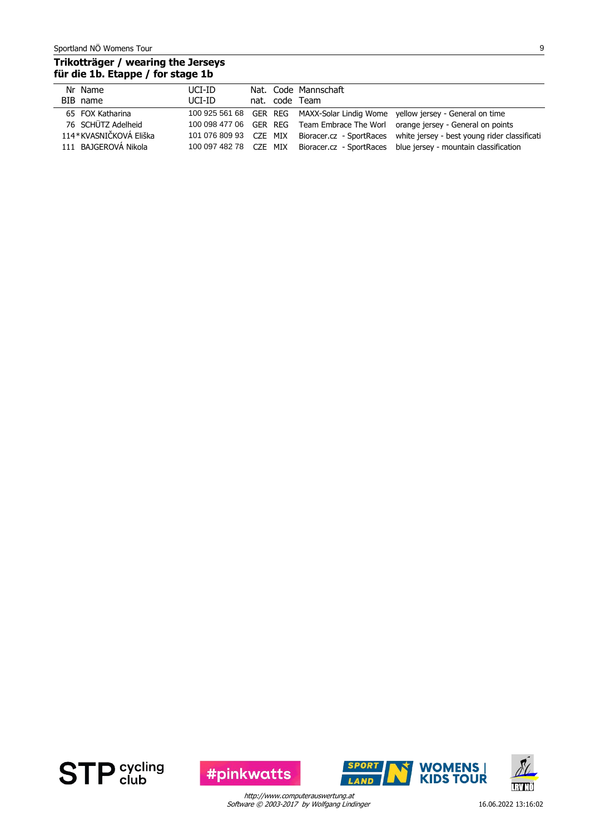## **Trikotträger / wearing the Jerseys für die 1b. Etappe / for stage 1b**

| Nr Name                | UCI-ID                 |  | Nat. Code Mannschaft |                                                                                |
|------------------------|------------------------|--|----------------------|--------------------------------------------------------------------------------|
| BIB name               | UCI-ID                 |  | nat. code Team       |                                                                                |
| 65 FOX Katharina       |                        |  |                      | 100 925 561 68 GER REG MAXX-Solar Lindig Wome yellow jersey - General on time  |
| 76 SCHÜTZ Adelheid     |                        |  |                      | 100 098 477 06 GER REG Team Embrace The Worl orange jersey - General on points |
| 114*KVASNIČKOVÁ Eliška | 101 076 809 93 CZE MIX |  |                      | Bioracer.cz - SportRaces white jersey - best young rider classificati          |
| 111 BAJGEROVÁ Nikola   | 100 097 482 78 CZE MIX |  |                      | Bioracer.cz - SportRaces blue jersey - mountain classification                 |